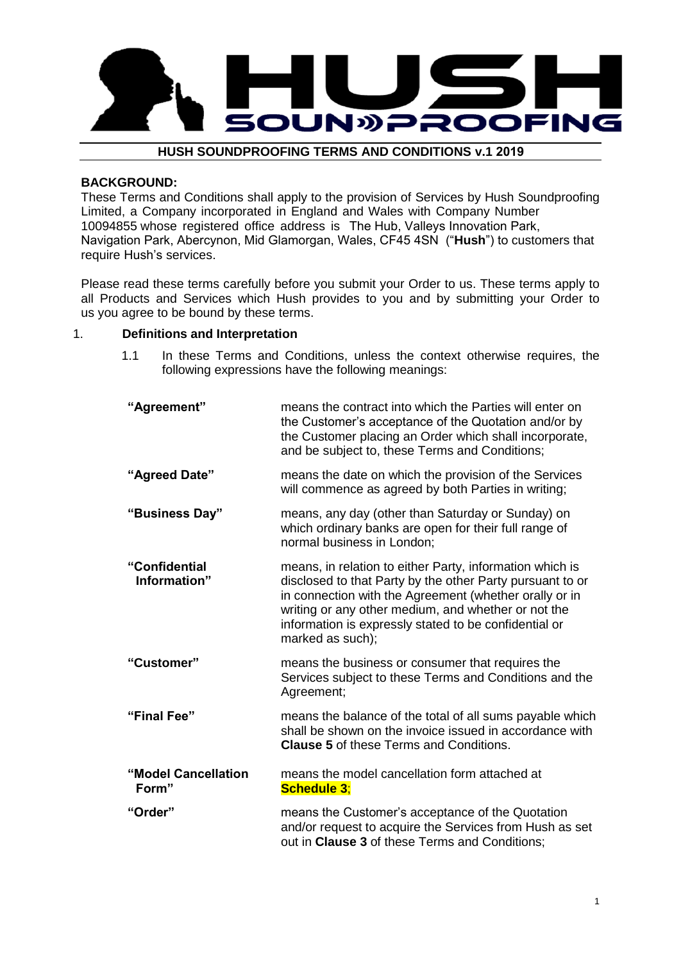

## **HUSH SOUNDPROOFING TERMS AND CONDITIONS v.1 2019**

## **BACKGROUND:**

These Terms and Conditions shall apply to the provision of Services by Hush Soundproofing Limited, a Company incorporated in England and Wales with Company Number 10094855 whose registered office address is The Hub, Valleys Innovation Park, Navigation Park, Abercynon, Mid Glamorgan, Wales, CF45 4SN ("**Hush**") to customers that require Hush's services.

Please read these terms carefully before you submit your Order to us. These terms apply to all Products and Services which Hush provides to you and by submitting your Order to us you agree to be bound by these terms.

## 1. **Definitions and Interpretation**

1.1 In these Terms and Conditions, unless the context otherwise requires, the following expressions have the following meanings:

| "Agreement"                   | means the contract into which the Parties will enter on<br>the Customer's acceptance of the Quotation and/or by<br>the Customer placing an Order which shall incorporate,<br>and be subject to, these Terms and Conditions;                                                                                         |  |
|-------------------------------|---------------------------------------------------------------------------------------------------------------------------------------------------------------------------------------------------------------------------------------------------------------------------------------------------------------------|--|
| "Agreed Date"                 | means the date on which the provision of the Services<br>will commence as agreed by both Parties in writing;                                                                                                                                                                                                        |  |
| "Business Day"                | means, any day (other than Saturday or Sunday) on<br>which ordinary banks are open for their full range of<br>normal business in London;                                                                                                                                                                            |  |
| "Confidential<br>Information" | means, in relation to either Party, information which is<br>disclosed to that Party by the other Party pursuant to or<br>in connection with the Agreement (whether orally or in<br>writing or any other medium, and whether or not the<br>information is expressly stated to be confidential or<br>marked as such); |  |
| "Customer"                    | means the business or consumer that requires the<br>Services subject to these Terms and Conditions and the<br>Agreement;                                                                                                                                                                                            |  |
| "Final Fee"                   | means the balance of the total of all sums payable which<br>shall be shown on the invoice issued in accordance with<br><b>Clause 5 of these Terms and Conditions.</b>                                                                                                                                               |  |
| "Model Cancellation<br>Form"  | means the model cancellation form attached at<br><b>Schedule 3:</b>                                                                                                                                                                                                                                                 |  |
| "Order"                       | means the Customer's acceptance of the Quotation<br>and/or request to acquire the Services from Hush as set<br>out in Clause 3 of these Terms and Conditions;                                                                                                                                                       |  |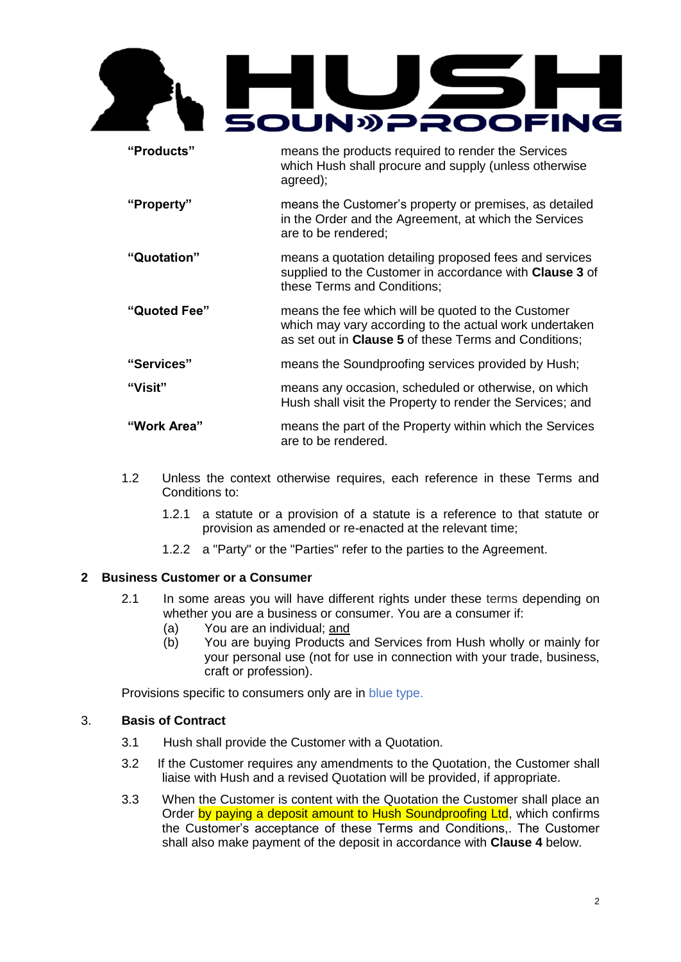

**"Products"** means the products required to render the Services which Hush shall procure and supply (unless otherwise agreed); **"Property"** means the Customer's property or premises, as detailed in the Order and the Agreement, at which the Services

are to be rendered;

- **"Quotation"** means a quotation detailing proposed fees and services supplied to the Customer in accordance with **Clause 3** of these Terms and Conditions;
- **"Quoted Fee"** means the fee which will be quoted to the Customer which may vary according to the actual work undertaken as set out in **Clause 5** of these Terms and Conditions;
- **"Services"** means the Soundproofing services provided by Hush;
- **"Visit"** means any occasion, scheduled or otherwise, on which Hush shall visit the Property to render the Services; and

# **"Work Area"** means the part of the Property within which the Services are to be rendered.

- 1.2 Unless the context otherwise requires, each reference in these Terms and Conditions to:
	- 1.2.1 a statute or a provision of a statute is a reference to that statute or provision as amended or re-enacted at the relevant time;
	- 1.2.2 a "Party" or the "Parties" refer to the parties to the Agreement.

# **2 Business Customer or a Consumer**

- 2.1 In some areas you will have different rights under these terms depending on whether you are a business or consumer. You are a consumer if:
	- (a) You are an individual; and
	- (b) You are buying Products and Services from Hush wholly or mainly for your personal use (not for use in connection with your trade, business, craft or profession).

Provisions specific to consumers only are in blue type.

# 3. **Basis of Contract**

- 3.1 Hush shall provide the Customer with a Quotation.
- 3.2 If the Customer requires any amendments to the Quotation, the Customer shall liaise with Hush and a revised Quotation will be provided, if appropriate.
- 3.3 When the Customer is content with the Quotation the Customer shall place an Order by paying a deposit amount to Hush Soundproofing Ltd, which confirms the Customer's acceptance of these Terms and Conditions,. The Customer shall also make payment of the deposit in accordance with **Clause 4** below.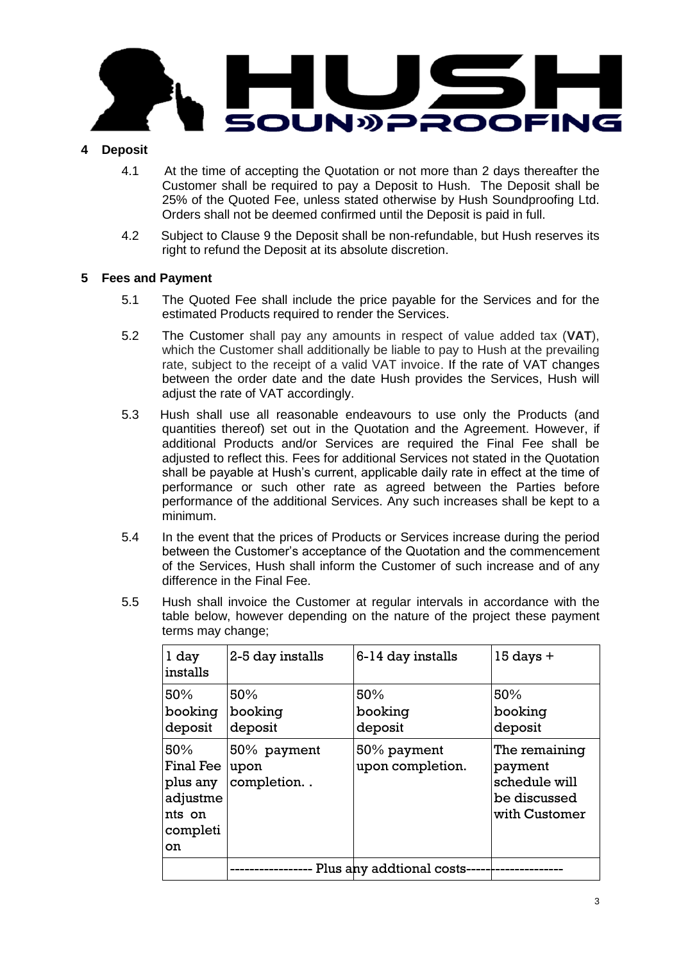

# **4 Deposit**

- 4.1 At the time of accepting the Quotation or not more than 2 days thereafter the Customer shall be required to pay a Deposit to Hush. The Deposit shall be 25% of the Quoted Fee, unless stated otherwise by Hush Soundproofing Ltd. Orders shall not be deemed confirmed until the Deposit is paid in full.
- 4.2 Subject to Clause 9 the Deposit shall be non-refundable, but Hush reserves its right to refund the Deposit at its absolute discretion.

# **5 Fees and Payment**

- 5.1 The Quoted Fee shall include the price payable for the Services and for the estimated Products required to render the Services.
- 5.2 The Customer shall pay any amounts in respect of value added tax (**VAT**), which the Customer shall additionally be liable to pay to Hush at the prevailing rate, subject to the receipt of a valid VAT invoice. If the rate of VAT changes between the order date and the date Hush provides the Services, Hush will adjust the rate of VAT accordingly.
- 5.3 Hush shall use all reasonable endeavours to use only the Products (and quantities thereof) set out in the Quotation and the Agreement. However, if additional Products and/or Services are required the Final Fee shall be adjusted to reflect this. Fees for additional Services not stated in the Quotation shall be payable at Hush's current, applicable daily rate in effect at the time of performance or such other rate as agreed between the Parties before performance of the additional Services. Any such increases shall be kept to a minimum.
- 5.4 In the event that the prices of Products or Services increase during the period between the Customer's acceptance of the Quotation and the commencement of the Services, Hush shall inform the Customer of such increase and of any difference in the Final Fee.
- 5.5 Hush shall invoice the Customer at regular intervals in accordance with the table below, however depending on the nature of the project these payment terms may change;

| 1 day<br>installs                                                    | 2-5 day installs                  | 6-14 day installs               | $15$ days $+$                                                              |  |
|----------------------------------------------------------------------|-----------------------------------|---------------------------------|----------------------------------------------------------------------------|--|
| 50%<br>booking<br>deposit                                            | 50%<br>booking<br>deposit         | 50%<br>booking<br>deposit       | 50%<br>booking<br>deposit                                                  |  |
| 50%<br>Final Fee<br>plus any<br>adjustme<br>nts on<br>completi<br>on | 50% payment<br>upon<br>completion | 50% payment<br>upon completion. | The remaining<br>payment<br>schedule will<br>be discussed<br>with Customer |  |
|                                                                      | Plus any addtional costs-         |                                 |                                                                            |  |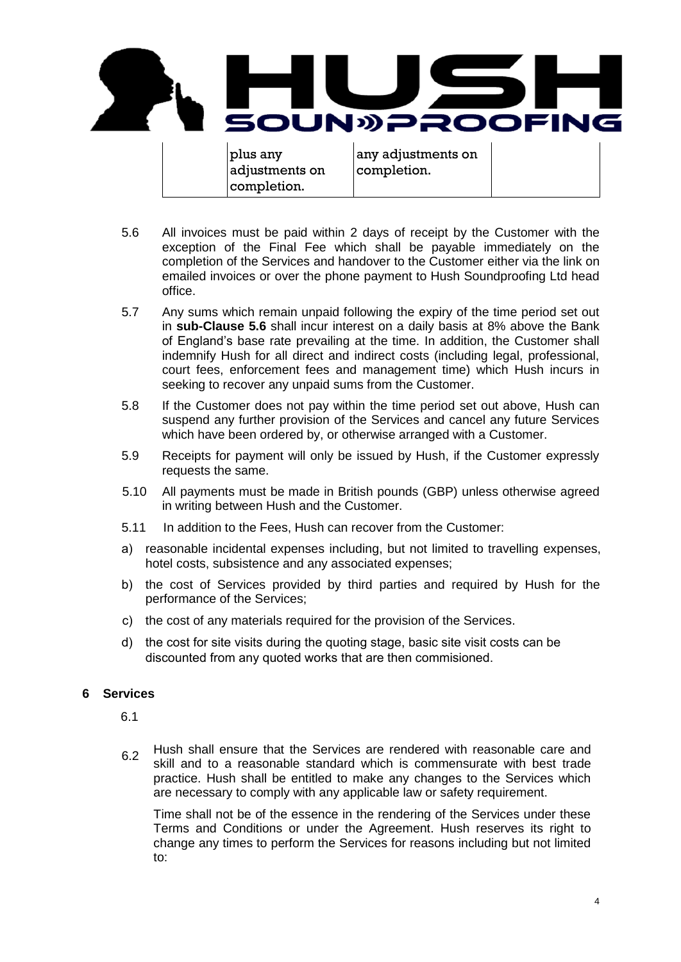

- 5.6 All invoices must be paid within 2 days of receipt by the Customer with the exception of the Final Fee which shall be payable immediately on the completion of the Services and handover to the Customer either via the link on emailed invoices or over the phone payment to Hush Soundproofing Ltd head office.
- 5.7 Any sums which remain unpaid following the expiry of the time period set out in **sub-Clause 5.6** shall incur interest on a daily basis at 8% above the Bank of England's base rate prevailing at the time. In addition, the Customer shall indemnify Hush for all direct and indirect costs (including legal, professional, court fees, enforcement fees and management time) which Hush incurs in seeking to recover any unpaid sums from the Customer.
- 5.8 If the Customer does not pay within the time period set out above, Hush can suspend any further provision of the Services and cancel any future Services which have been ordered by, or otherwise arranged with a Customer.
- 5.9 Receipts for payment will only be issued by Hush, if the Customer expressly requests the same.
- 5.10 All payments must be made in British pounds (GBP) unless otherwise agreed in writing between Hush and the Customer.
- 5.11 In addition to the Fees, Hush can recover from the Customer:
- a) reasonable incidental expenses including, but not limited to travelling expenses, hotel costs, subsistence and any associated expenses;
- b) the cost of Services provided by third parties and required by Hush for the performance of the Services;
- c) the cost of any materials required for the provision of the Services.
- d) the cost for site visits during the quoting stage, basic site visit costs can be discounted from any quoted works that are then commisioned.

# **6 Services**

- 6.1
- Hush shall ensure that the Services are rendered with reasonable care and skill and to a reasonable standard which is commensurate with best trade practice. Hush shall be entitled to make any changes to the Services which are necessary to comply with any applicable law or safety requirement. 6.2

Time shall not be of the essence in the rendering of the Services under these Terms and Conditions or under the Agreement. Hush reserves its right to change any times to perform the Services for reasons including but not limited to: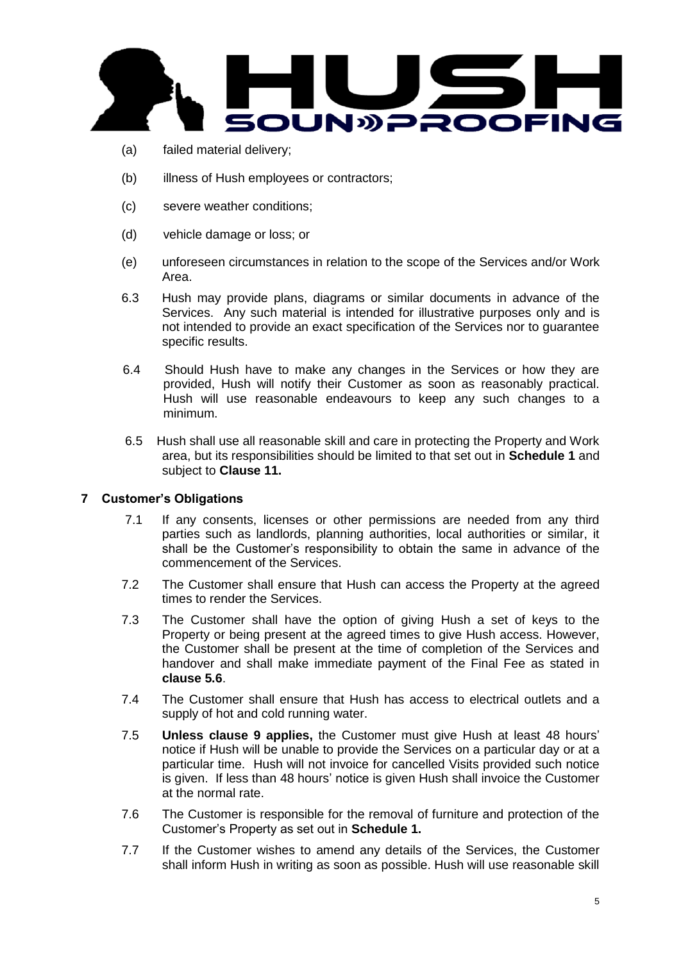

- (a) failed material delivery;
- (b) illness of Hush employees or contractors;
- (c) severe weather conditions;
- (d) vehicle damage or loss; or
- (e) unforeseen circumstances in relation to the scope of the Services and/or Work Area.
- 6.3 Hush may provide plans, diagrams or similar documents in advance of the Services. Any such material is intended for illustrative purposes only and is not intended to provide an exact specification of the Services nor to guarantee specific results.
- 6.4 Should Hush have to make any changes in the Services or how they are provided, Hush will notify their Customer as soon as reasonably practical. Hush will use reasonable endeavours to keep any such changes to a minimum.
- 6.5 Hush shall use all reasonable skill and care in protecting the Property and Work area, but its responsibilities should be limited to that set out in **Schedule 1** and subject to **Clause 11.**

# **7 Customer's Obligations**

- 7.1 If any consents, licenses or other permissions are needed from any third parties such as landlords, planning authorities, local authorities or similar, it shall be the Customer's responsibility to obtain the same in advance of the commencement of the Services.
- 7.2 The Customer shall ensure that Hush can access the Property at the agreed times to render the Services.
- 7.3 The Customer shall have the option of giving Hush a set of keys to the Property or being present at the agreed times to give Hush access. However, the Customer shall be present at the time of completion of the Services and handover and shall make immediate payment of the Final Fee as stated in **clause 5.6**.
- 7.4 The Customer shall ensure that Hush has access to electrical outlets and a supply of hot and cold running water.
- 7.5 **Unless clause 9 applies,** the Customer must give Hush at least 48 hours' notice if Hush will be unable to provide the Services on a particular day or at a particular time. Hush will not invoice for cancelled Visits provided such notice is given. If less than 48 hours' notice is given Hush shall invoice the Customer at the normal rate.
- 7.6 The Customer is responsible for the removal of furniture and protection of the Customer's Property as set out in **Schedule 1.**
- 7.7 If the Customer wishes to amend any details of the Services, the Customer shall inform Hush in writing as soon as possible. Hush will use reasonable skill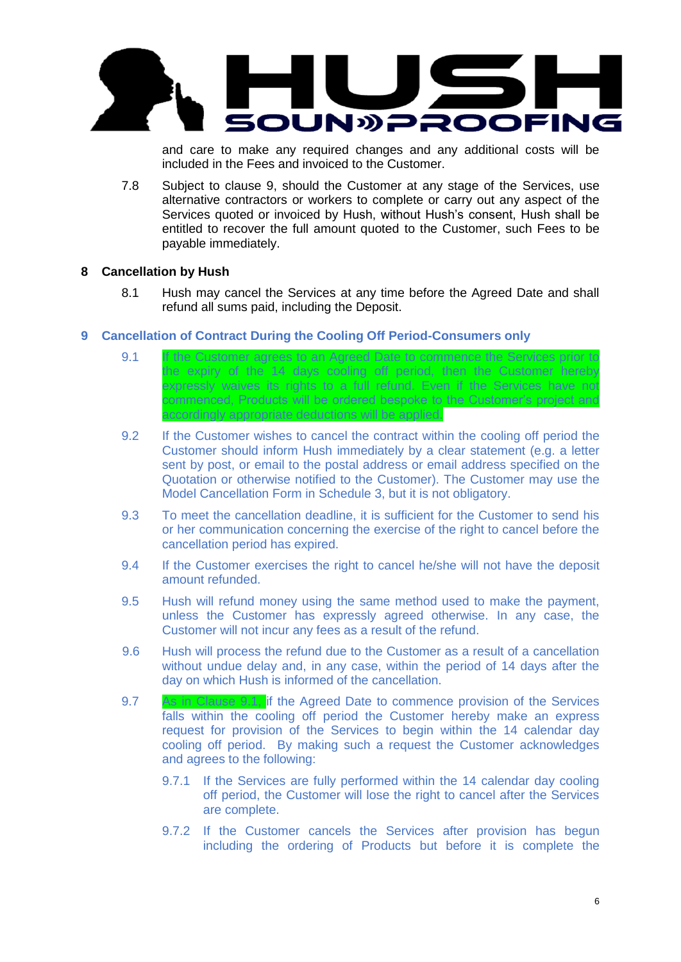

and care to make any required changes and any additional costs will be included in the Fees and invoiced to the Customer.

7.8 Subject to clause 9, should the Customer at any stage of the Services, use alternative contractors or workers to complete or carry out any aspect of the Services quoted or invoiced by Hush, without Hush's consent, Hush shall be entitled to recover the full amount quoted to the Customer, such Fees to be payable immediately.

## **8 Cancellation by Hush**

8.1 Hush may cancel the Services at any time before the Agreed Date and shall refund all sums paid, including the Deposit.

## **9 Cancellation of Contract During the Cooling Off Period-Consumers only**

- 9.1 If the Customer agrees to an Agreed Date to commence the Services prior to the expiry of the 14 days cooling off period, then the Customer hereby expressly waives its rights to a full refund. Even if the Services have not commenced, Products will be ordered bespoke to the Customer's project and accordingly appropriate deductions will be applied.
- 9.2 If the Customer wishes to cancel the contract within the cooling off period the Customer should inform Hush immediately by a clear statement (e.g. a letter sent by post, or email to the postal address or email address specified on the Quotation or otherwise notified to the Customer). The Customer may use the Model Cancellation Form in Schedule 3, but it is not obligatory.
- 9.3 To meet the cancellation deadline, it is sufficient for the Customer to send his or her communication concerning the exercise of the right to cancel before the cancellation period has expired.
- 9.4 If the Customer exercises the right to cancel he/she will not have the deposit amount refunded.
- 9.5 Hush will refund money using the same method used to make the payment, unless the Customer has expressly agreed otherwise. In any case, the Customer will not incur any fees as a result of the refund.
- 9.6 Hush will process the refund due to the Customer as a result of a cancellation without undue delay and, in any case, within the period of 14 days after the day on which Hush is informed of the cancellation.
- 9.7 As in Clause 9.1, if the Agreed Date to commence provision of the Services falls within the cooling off period the Customer hereby make an express request for provision of the Services to begin within the 14 calendar day cooling off period. By making such a request the Customer acknowledges and agrees to the following:
	- 9.7.1 If the Services are fully performed within the 14 calendar day cooling off period, the Customer will lose the right to cancel after the Services are complete.
	- 9.7.2 If the Customer cancels the Services after provision has begun including the ordering of Products but before it is complete the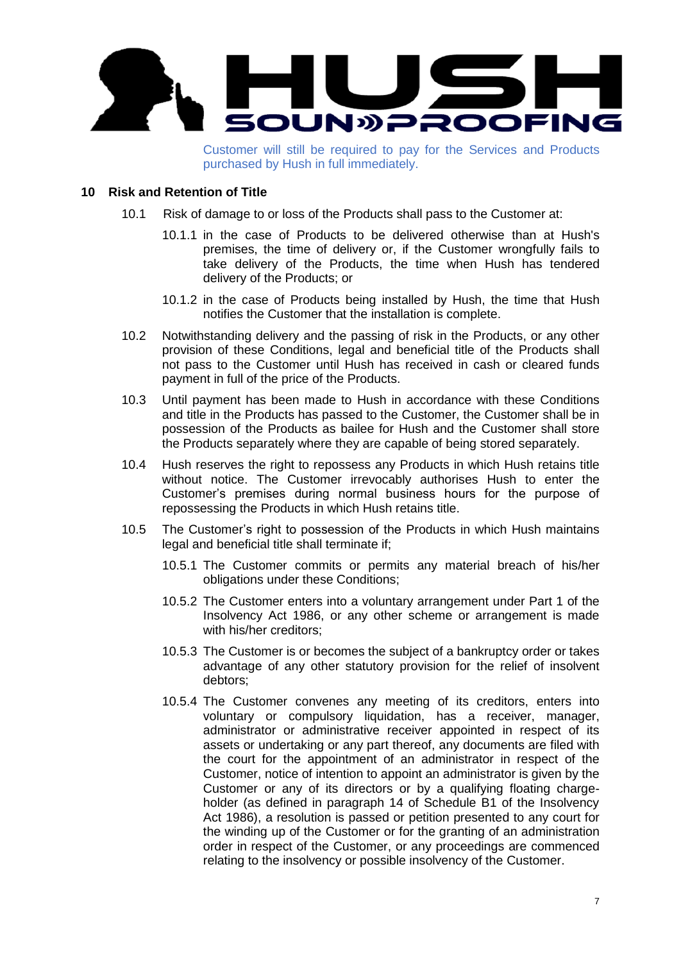

Customer will still be required to pay for the Services and Products purchased by Hush in full immediately.

## **10 Risk and Retention of Title**

- 10.1 Risk of damage to or loss of the Products shall pass to the Customer at:
	- 10.1.1 in the case of Products to be delivered otherwise than at Hush's premises, the time of delivery or, if the Customer wrongfully fails to take delivery of the Products, the time when Hush has tendered delivery of the Products; or
	- 10.1.2 in the case of Products being installed by Hush, the time that Hush notifies the Customer that the installation is complete.
- 10.2 Notwithstanding delivery and the passing of risk in the Products, or any other provision of these Conditions, legal and beneficial title of the Products shall not pass to the Customer until Hush has received in cash or cleared funds payment in full of the price of the Products.
- 10.3 Until payment has been made to Hush in accordance with these Conditions and title in the Products has passed to the Customer, the Customer shall be in possession of the Products as bailee for Hush and the Customer shall store the Products separately where they are capable of being stored separately.
- 10.4 Hush reserves the right to repossess any Products in which Hush retains title without notice. The Customer irrevocably authorises Hush to enter the Customer's premises during normal business hours for the purpose of repossessing the Products in which Hush retains title.
- 10.5 The Customer's right to possession of the Products in which Hush maintains legal and beneficial title shall terminate if;
	- 10.5.1 The Customer commits or permits any material breach of his/her obligations under these Conditions;
	- 10.5.2 The Customer enters into a voluntary arrangement under Part 1 of the Insolvency Act 1986, or any other scheme or arrangement is made with his/her creditors;
	- 10.5.3 The Customer is or becomes the subject of a bankruptcy order or takes advantage of any other statutory provision for the relief of insolvent debtors;
	- 10.5.4 The Customer convenes any meeting of its creditors, enters into voluntary or compulsory liquidation, has a receiver, manager, administrator or administrative receiver appointed in respect of its assets or undertaking or any part thereof, any documents are filed with the court for the appointment of an administrator in respect of the Customer, notice of intention to appoint an administrator is given by the Customer or any of its directors or by a qualifying floating chargeholder (as defined in paragraph 14 of Schedule B1 of the Insolvency Act 1986), a resolution is passed or petition presented to any court for the winding up of the Customer or for the granting of an administration order in respect of the Customer, or any proceedings are commenced relating to the insolvency or possible insolvency of the Customer.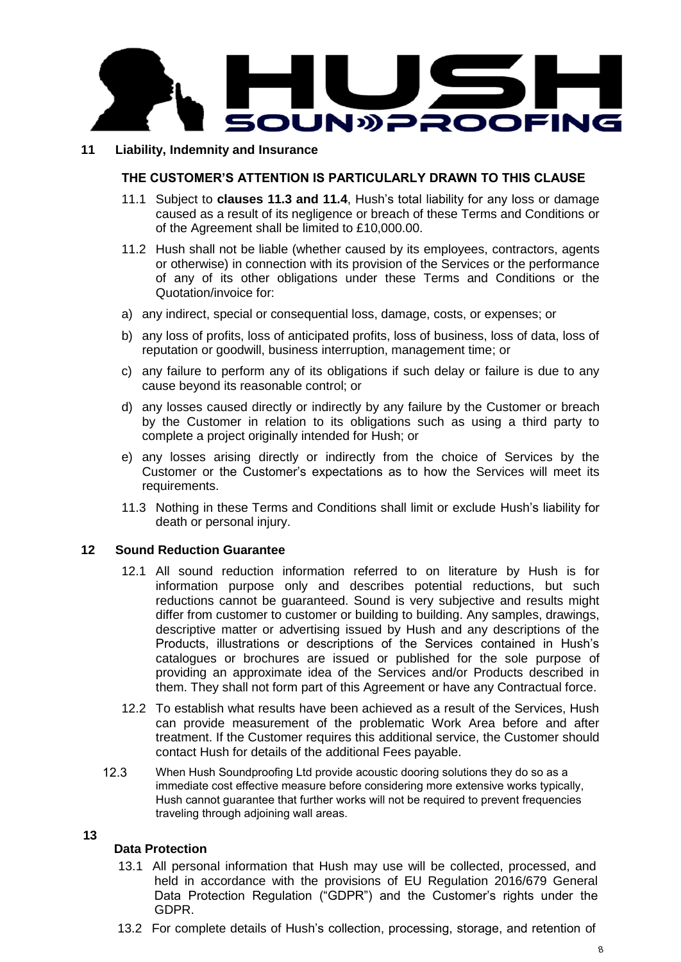

## **11 Liability, Indemnity and Insurance**

## **THE CUSTOMER'S ATTENTION IS PARTICULARLY DRAWN TO THIS CLAUSE**

- 11.1 Subject to **clauses 11.3 and 11.4**, Hush's total liability for any loss or damage caused as a result of its negligence or breach of these Terms and Conditions or of the Agreement shall be limited to £10,000.00.
- 11.2 Hush shall not be liable (whether caused by its employees, contractors, agents or otherwise) in connection with its provision of the Services or the performance of any of its other obligations under these Terms and Conditions or the Quotation/invoice for:
- a) any indirect, special or consequential loss, damage, costs, or expenses; or
- b) any loss of profits, loss of anticipated profits, loss of business, loss of data, loss of reputation or goodwill, business interruption, management time; or
- c) any failure to perform any of its obligations if such delay or failure is due to any cause beyond its reasonable control; or
- d) any losses caused directly or indirectly by any failure by the Customer or breach by the Customer in relation to its obligations such as using a third party to complete a project originally intended for Hush; or
- e) any losses arising directly or indirectly from the choice of Services by the Customer or the Customer's expectations as to how the Services will meet its requirements.
- 11.3 Nothing in these Terms and Conditions shall limit or exclude Hush's liability for death or personal injury.

## **12 Sound Reduction Guarantee**

- 12.1 All sound reduction information referred to on literature by Hush is for information purpose only and describes potential reductions, but such reductions cannot be guaranteed. Sound is very subjective and results might differ from customer to customer or building to building. Any samples, drawings, descriptive matter or advertising issued by Hush and any descriptions of the Products, illustrations or descriptions of the Services contained in Hush's catalogues or brochures are issued or published for the sole purpose of providing an approximate idea of the Services and/or Products described in them. They shall not form part of this Agreement or have any Contractual force.
- 12.2 To establish what results have been achieved as a result of the Services, Hush can provide measurement of the problematic Work Area before and after treatment. If the Customer requires this additional service, the Customer should contact Hush for details of the additional Fees payable.
- 12.3 When Hush Soundproofing Ltd provide acoustic dooring solutions they do so as a immediate cost effective measure before considering more extensive works typically, Hush cannot guarantee that further works will not be required to prevent frequencies traveling through adjoining wall areas.

#### **13**

#### **Data Protection**

- 13.1 All personal information that Hush may use will be collected, processed, and held in accordance with the provisions of EU Regulation 2016/679 General Data Protection Regulation ("GDPR") and the Customer's rights under the GDPR.
- 13.2 For complete details of Hush's collection, processing, storage, and retention of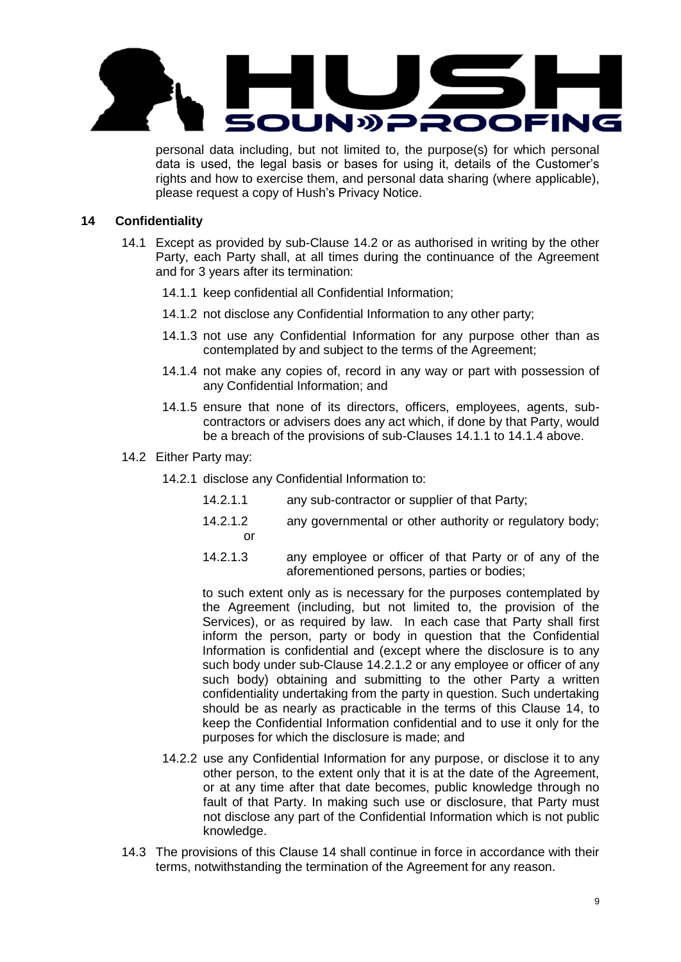

personal data including, but not limited to, the purpose(s) for which personal data is used, the legal basis or bases for using it, details of the Customer's rights and how to exercise them, and personal data sharing (where applicable), please request a copy of Hush's Privacy Notice.

# **14 Confidentiality**

- 14.1 Except as provided by sub-Clause 14.2 or as authorised in writing by the other Party, each Party shall, at all times during the continuance of the Agreement and for 3 years after its termination:
	- 14.1.1 keep confidential all Confidential Information;
	- 14.1.2 not disclose any Confidential Information to any other party;
	- 14.1.3 not use any Confidential Information for any purpose other than as contemplated by and subject to the terms of the Agreement;
	- 14.1.4 not make any copies of, record in any way or part with possession of any Confidential Information; and
	- 14.1.5 ensure that none of its directors, officers, employees, agents, subcontractors or advisers does any act which, if done by that Party, would be a breach of the provisions of sub-Clauses 14.1.1 to 14.1.4 above.
- 14.2 Either Party may:
	- 14.2.1 disclose any Confidential Information to:
		- 14.2.1.1 any sub-contractor or supplier of that Party;
		- 14.2.1.2 any governmental or other authority or regulatory body; or
		- 14.2.1.3 any employee or officer of that Party or of any of the aforementioned persons, parties or bodies;

to such extent only as is necessary for the purposes contemplated by the Agreement (including, but not limited to, the provision of the Services), or as required by law. In each case that Party shall first inform the person, party or body in question that the Confidential Information is confidential and (except where the disclosure is to any such body under sub-Clause 14.2.1.2 or any employee or officer of any such body) obtaining and submitting to the other Party a written confidentiality undertaking from the party in question. Such undertaking should be as nearly as practicable in the terms of this Clause 14, to keep the Confidential Information confidential and to use it only for the purposes for which the disclosure is made; and

- 14.2.2 use any Confidential Information for any purpose, or disclose it to any other person, to the extent only that it is at the date of the Agreement, or at any time after that date becomes, public knowledge through no fault of that Party. In making such use or disclosure, that Party must not disclose any part of the Confidential Information which is not public knowledge.
- 14.3 The provisions of this Clause 14 shall continue in force in accordance with their terms, notwithstanding the termination of the Agreement for any reason.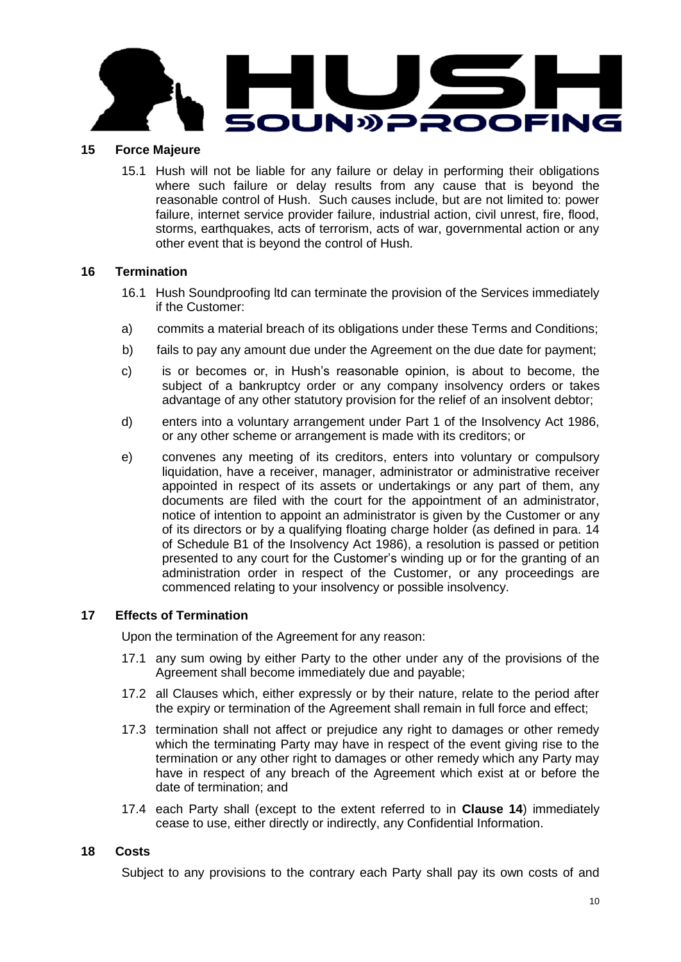

# **15 Force Majeure**

15.1 Hush will not be liable for any failure or delay in performing their obligations where such failure or delay results from any cause that is beyond the reasonable control of Hush. Such causes include, but are not limited to: power failure, internet service provider failure, industrial action, civil unrest, fire, flood, storms, earthquakes, acts of terrorism, acts of war, governmental action or any other event that is beyond the control of Hush.

## **16 Termination**

- 16.1 Hush Soundproofing ltd can terminate the provision of the Services immediately if the Customer:
- a) commits a material breach of its obligations under these Terms and Conditions;
- b) fails to pay any amount due under the Agreement on the due date for payment;
- c) is or becomes or, in Hush's reasonable opinion, is about to become, the subject of a bankruptcy order or any company insolvency orders or takes advantage of any other statutory provision for the relief of an insolvent debtor;
- d) enters into a voluntary arrangement under Part 1 of the Insolvency Act 1986, or any other scheme or arrangement is made with its creditors; or
- e) convenes any meeting of its creditors, enters into voluntary or compulsory liquidation, have a receiver, manager, administrator or administrative receiver appointed in respect of its assets or undertakings or any part of them, any documents are filed with the court for the appointment of an administrator, notice of intention to appoint an administrator is given by the Customer or any of its directors or by a qualifying floating charge holder (as defined in para. 14 of Schedule B1 of the Insolvency Act 1986), a resolution is passed or petition presented to any court for the Customer's winding up or for the granting of an administration order in respect of the Customer, or any proceedings are commenced relating to your insolvency or possible insolvency.

# **17 Effects of Termination**

Upon the termination of the Agreement for any reason:

- 17.1 any sum owing by either Party to the other under any of the provisions of the Agreement shall become immediately due and payable;
- 17.2 all Clauses which, either expressly or by their nature, relate to the period after the expiry or termination of the Agreement shall remain in full force and effect;
- 17.3 termination shall not affect or prejudice any right to damages or other remedy which the terminating Party may have in respect of the event giving rise to the termination or any other right to damages or other remedy which any Party may have in respect of any breach of the Agreement which exist at or before the date of termination; and
- 17.4 each Party shall (except to the extent referred to in **Clause 14**) immediately cease to use, either directly or indirectly, any Confidential Information.

# **18 Costs**

Subject to any provisions to the contrary each Party shall pay its own costs of and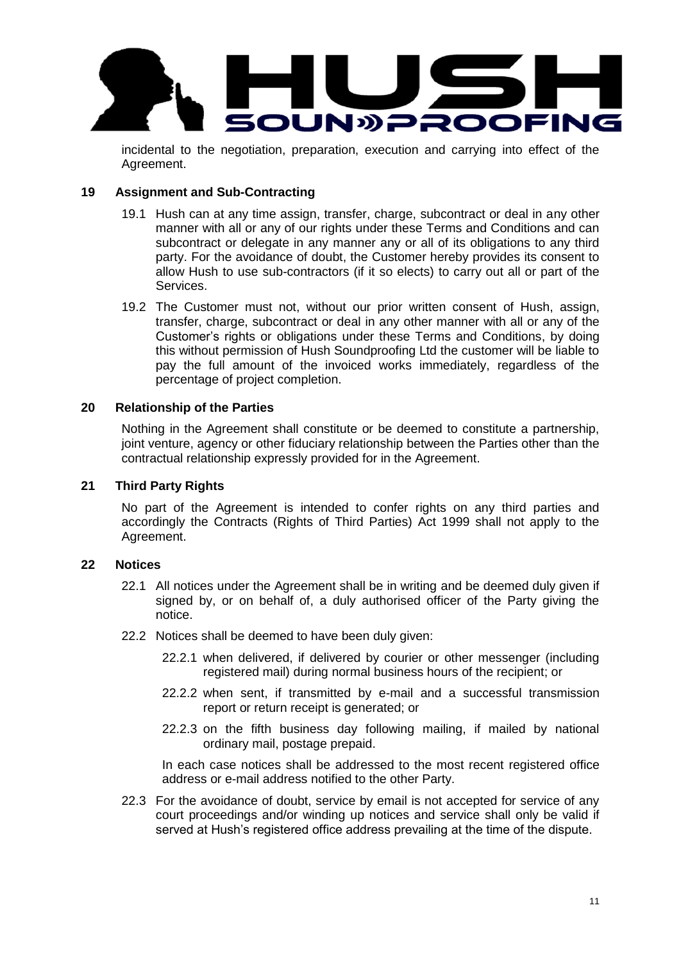

incidental to the negotiation, preparation, execution and carrying into effect of the Agreement.

## **19 Assignment and Sub-Contracting**

- 19.1 Hush can at any time assign, transfer, charge, subcontract or deal in any other manner with all or any of our rights under these Terms and Conditions and can subcontract or delegate in any manner any or all of its obligations to any third party. For the avoidance of doubt, the Customer hereby provides its consent to allow Hush to use sub-contractors (if it so elects) to carry out all or part of the Services.
- 19.2 The Customer must not, without our prior written consent of Hush, assign, transfer, charge, subcontract or deal in any other manner with all or any of the Customer's rights or obligations under these Terms and Conditions, by doing this without permission of Hush Soundproofing Ltd the customer will be liable to pay the full amount of the invoiced works immediately, regardless of the percentage of project completion.

## **20 Relationship of the Parties**

Nothing in the Agreement shall constitute or be deemed to constitute a partnership, joint venture, agency or other fiduciary relationship between the Parties other than the contractual relationship expressly provided for in the Agreement.

# **21 Third Party Rights**

No part of the Agreement is intended to confer rights on any third parties and accordingly the Contracts (Rights of Third Parties) Act 1999 shall not apply to the Agreement.

#### **22 Notices**

- 22.1 All notices under the Agreement shall be in writing and be deemed duly given if signed by, or on behalf of, a duly authorised officer of the Party giving the notice.
- 22.2 Notices shall be deemed to have been duly given:
	- 22.2.1 when delivered, if delivered by courier or other messenger (including registered mail) during normal business hours of the recipient; or
	- 22.2.2 when sent, if transmitted by e-mail and a successful transmission report or return receipt is generated; or
	- 22.2.3 on the fifth business day following mailing, if mailed by national ordinary mail, postage prepaid.

In each case notices shall be addressed to the most recent registered office address or e-mail address notified to the other Party.

22.3 For the avoidance of doubt, service by email is not accepted for service of any court proceedings and/or winding up notices and service shall only be valid if served at Hush's registered office address prevailing at the time of the dispute.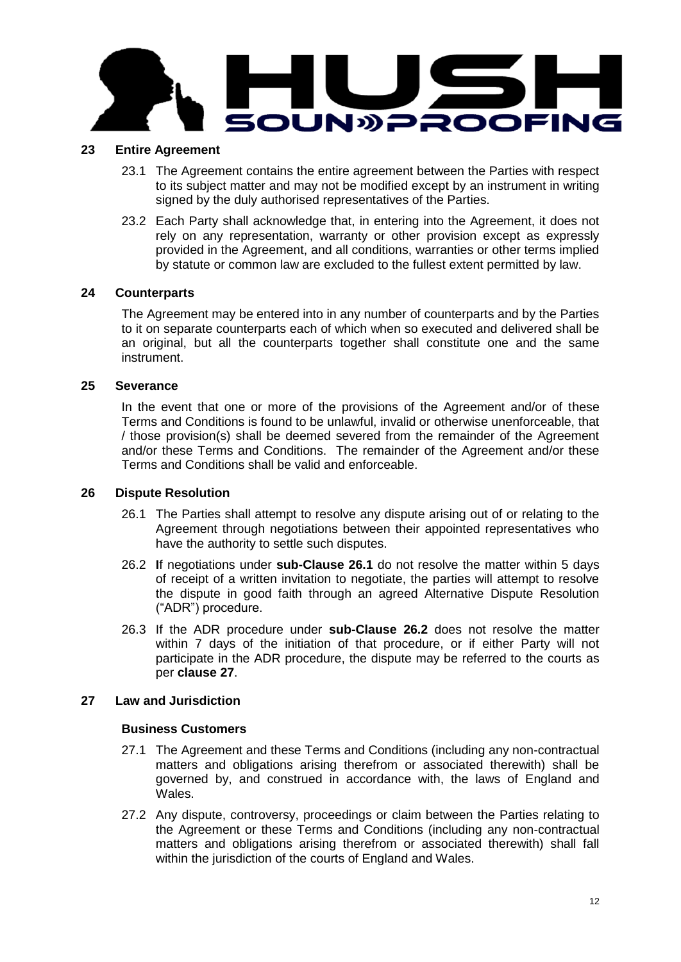

#### **23 Entire Agreement**

- 23.1 The Agreement contains the entire agreement between the Parties with respect to its subject matter and may not be modified except by an instrument in writing signed by the duly authorised representatives of the Parties.
- 23.2 Each Party shall acknowledge that, in entering into the Agreement, it does not rely on any representation, warranty or other provision except as expressly provided in the Agreement, and all conditions, warranties or other terms implied by statute or common law are excluded to the fullest extent permitted by law.

## **24 Counterparts**

The Agreement may be entered into in any number of counterparts and by the Parties to it on separate counterparts each of which when so executed and delivered shall be an original, but all the counterparts together shall constitute one and the same instrument.

## **25 Severance**

In the event that one or more of the provisions of the Agreement and/or of these Terms and Conditions is found to be unlawful, invalid or otherwise unenforceable, that / those provision(s) shall be deemed severed from the remainder of the Agreement and/or these Terms and Conditions. The remainder of the Agreement and/or these Terms and Conditions shall be valid and enforceable.

## **26 Dispute Resolution**

- 26.1 The Parties shall attempt to resolve any dispute arising out of or relating to the Agreement through negotiations between their appointed representatives who have the authority to settle such disputes.
- 26.2 **I**f negotiations under **sub-Clause 26.1** do not resolve the matter within 5 days of receipt of a written invitation to negotiate, the parties will attempt to resolve the dispute in good faith through an agreed Alternative Dispute Resolution ("ADR") procedure.
- 26.3 If the ADR procedure under **sub-Clause 26.2** does not resolve the matter within 7 days of the initiation of that procedure, or if either Party will not participate in the ADR procedure, the dispute may be referred to the courts as per **clause 27**.

# **27 Law and Jurisdiction**

#### **Business Customers**

- 27.1 The Agreement and these Terms and Conditions (including any non-contractual matters and obligations arising therefrom or associated therewith) shall be governed by, and construed in accordance with, the laws of England and Wales.
- 27.2 Any dispute, controversy, proceedings or claim between the Parties relating to the Agreement or these Terms and Conditions (including any non-contractual matters and obligations arising therefrom or associated therewith) shall fall within the jurisdiction of the courts of England and Wales.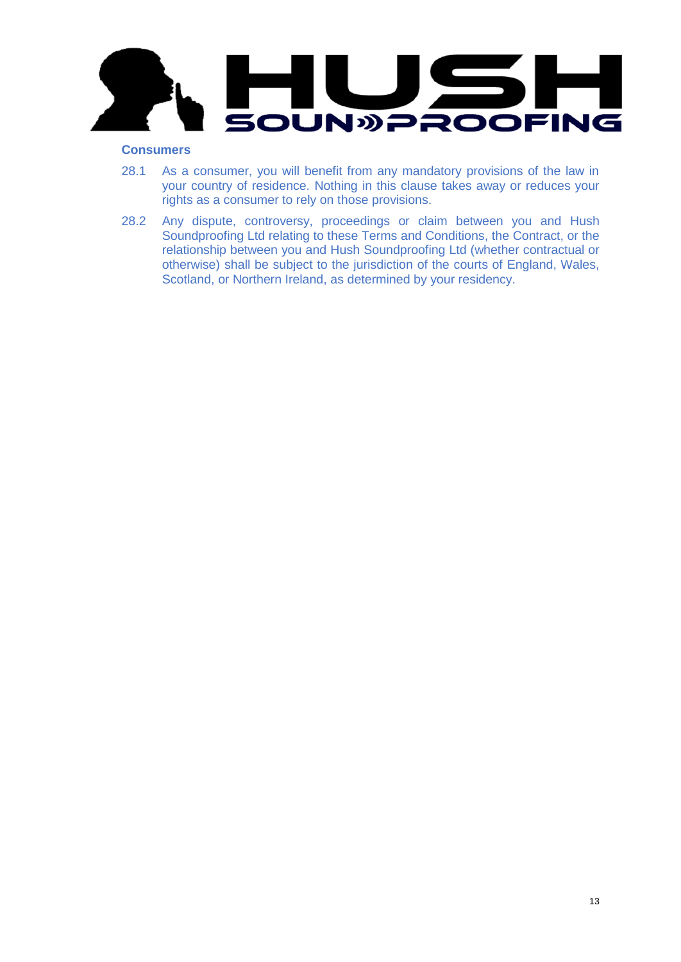

# **Consumers**

- 28.1 As a consumer, you will benefit from any mandatory provisions of the law in your country of residence. Nothing in this clause takes away or reduces your rights as a consumer to rely on those provisions.
- 28.2 Any dispute, controversy, proceedings or claim between you and Hush Soundproofing Ltd relating to these Terms and Conditions, the Contract, or the relationship between you and Hush Soundproofing Ltd (whether contractual or otherwise) shall be subject to the jurisdiction of the courts of England, Wales, Scotland, or Northern Ireland, as determined by your residency.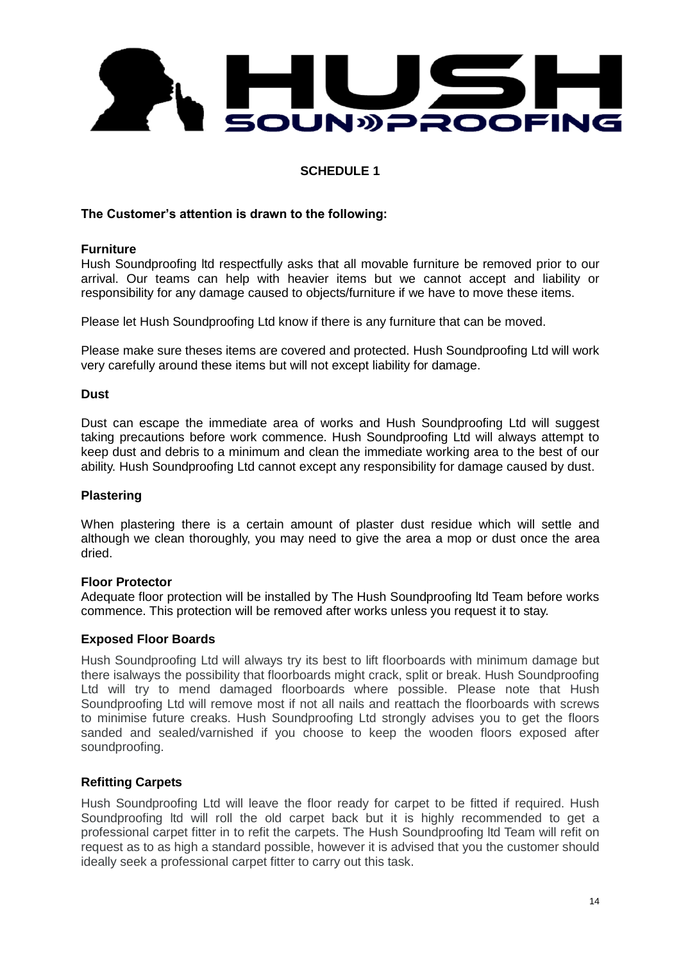

# **SCHEDULE 1**

## **The Customer's attention is drawn to the following:**

#### **Furniture**

Hush Soundproofing ltd respectfully asks that all movable furniture be removed prior to our arrival. Our teams can help with heavier items but we cannot accept and liability or responsibility for any damage caused to objects/furniture if we have to move these items.

Please let Hush Soundproofing Ltd know if there is any furniture that can be moved.

Please make sure theses items are covered and protected. Hush Soundproofing Ltd will work very carefully around these items but will not except liability for damage.

#### **Dust**

Dust can escape the immediate area of works and Hush Soundproofing Ltd will suggest taking precautions before work commence. Hush Soundproofing Ltd will always attempt to keep dust and debris to a minimum and clean the immediate working area to the best of our ability. Hush Soundproofing Ltd cannot except any responsibility for damage caused by dust.

#### **Plastering**

When plastering there is a certain amount of plaster dust residue which will settle and although we clean thoroughly, you may need to give the area a mop or dust once the area dried.

#### **Floor Protector**

Adequate floor protection will be installed by The Hush Soundproofing ltd Team before works commence. This protection will be removed after works unless you request it to stay.

#### **Exposed Floor Boards**

Hush Soundproofing Ltd will always try its best to lift floorboards with minimum damage but there isalways the possibility that floorboards might crack, split or break. Hush Soundproofing Ltd will try to mend damaged floorboards where possible. Please note that Hush Soundproofing Ltd will remove most if not all nails and reattach the floorboards with screws to minimise future creaks. Hush Soundproofing Ltd strongly advises you to get the floors sanded and sealed/varnished if you choose to keep the wooden floors exposed after soundproofing.

# **Refitting Carpets**

Hush Soundproofing Ltd will leave the floor ready for carpet to be fitted if required. Hush Soundproofing ltd will roll the old carpet back but it is highly recommended to get a professional carpet fitter in to refit the carpets. The Hush Soundproofing ltd Team will refit on request as to as high a standard possible, however it is advised that you the customer should ideally seek a professional carpet fitter to carry out this task.